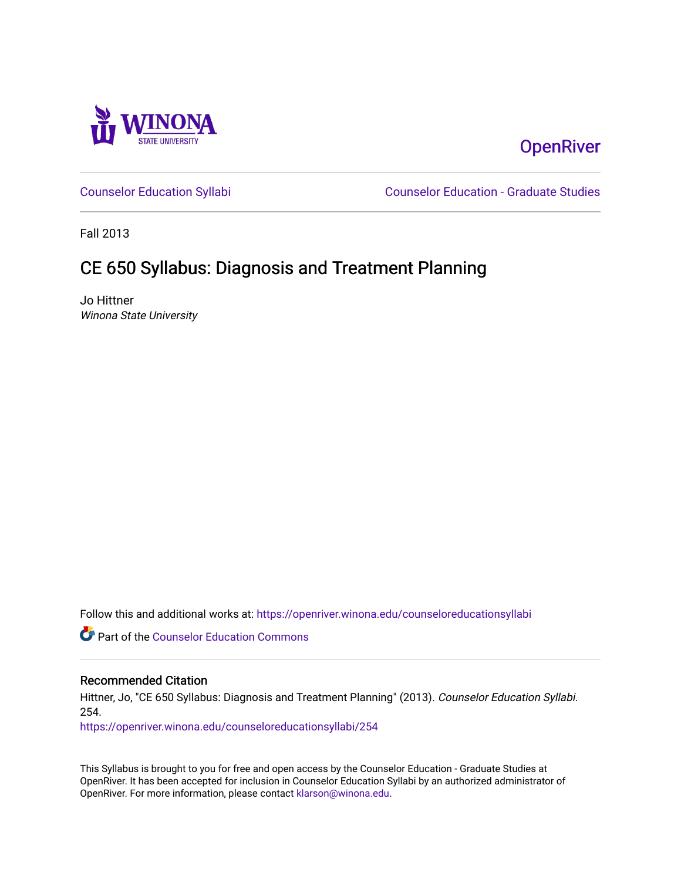

# **OpenRiver**

[Counselor Education Syllabi](https://openriver.winona.edu/counseloreducationsyllabi) [Counselor Education - Graduate Studies](https://openriver.winona.edu/counseloreducation) 

Fall 2013

# CE 650 Syllabus: Diagnosis and Treatment Planning

Jo Hittner Winona State University

Follow this and additional works at: [https://openriver.winona.edu/counseloreducationsyllabi](https://openriver.winona.edu/counseloreducationsyllabi?utm_source=openriver.winona.edu%2Fcounseloreducationsyllabi%2F254&utm_medium=PDF&utm_campaign=PDFCoverPages)

Part of the [Counselor Education Commons](http://network.bepress.com/hgg/discipline/1278?utm_source=openriver.winona.edu%2Fcounseloreducationsyllabi%2F254&utm_medium=PDF&utm_campaign=PDFCoverPages) 

#### Recommended Citation

Hittner, Jo, "CE 650 Syllabus: Diagnosis and Treatment Planning" (2013). Counselor Education Syllabi. 254.

[https://openriver.winona.edu/counseloreducationsyllabi/254](https://openriver.winona.edu/counseloreducationsyllabi/254?utm_source=openriver.winona.edu%2Fcounseloreducationsyllabi%2F254&utm_medium=PDF&utm_campaign=PDFCoverPages)

This Syllabus is brought to you for free and open access by the Counselor Education - Graduate Studies at OpenRiver. It has been accepted for inclusion in Counselor Education Syllabi by an authorized administrator of OpenRiver. For more information, please contact [klarson@winona.edu](mailto:klarson@winona.edu).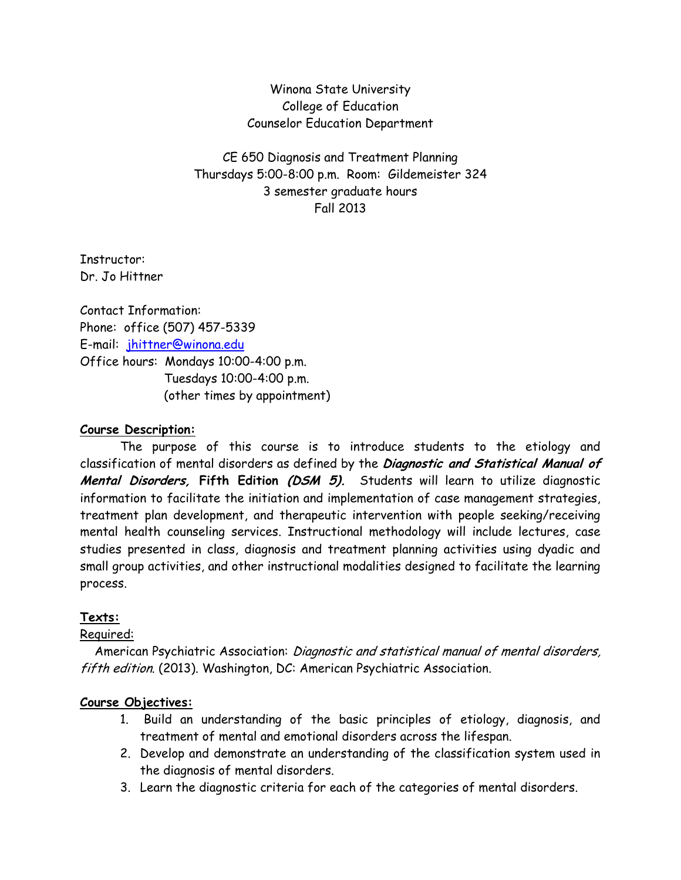Winona State University College of Education Counselor Education Department

CE 650 Diagnosis and Treatment Planning Thursdays 5:00-8:00 p.m. Room: Gildemeister 324 3 semester graduate hours Fall 2013

Instructor: Dr. Jo Hittner

Contact Information: Phone: office (507) 457-5339 E-mail: [jhittner@winona.edu](mailto:jhittner@winona.edu) Office hours: Mondays 10:00-4:00 p.m. Tuesdays 10:00-4:00 p.m. (other times by appointment)

#### **Course Description:**

The purpose of this course is to introduce students to the etiology and classification of mental disorders as defined by the **Diagnostic and Statistical Manual of Mental Disorders, Fifth Edition (DSM 5).** Students will learn to utilize diagnostic information to facilitate the initiation and implementation of case management strategies, treatment plan development, and therapeutic intervention with people seeking/receiving mental health counseling services. Instructional methodology will include lectures, case studies presented in class, diagnosis and treatment planning activities using dyadic and small group activities, and other instructional modalities designed to facilitate the learning process.

#### **Texts:**

#### Required:

 American Psychiatric Association: Diagnostic and statistical manual of mental disorders, fifth edition. (2013). Washington, DC: American Psychiatric Association.

#### **Course Objectives:**

- 1. Build an understanding of the basic principles of etiology, diagnosis, and treatment of mental and emotional disorders across the lifespan.
- 2. Develop and demonstrate an understanding of the classification system used in the diagnosis of mental disorders.
- 3. Learn the diagnostic criteria for each of the categories of mental disorders.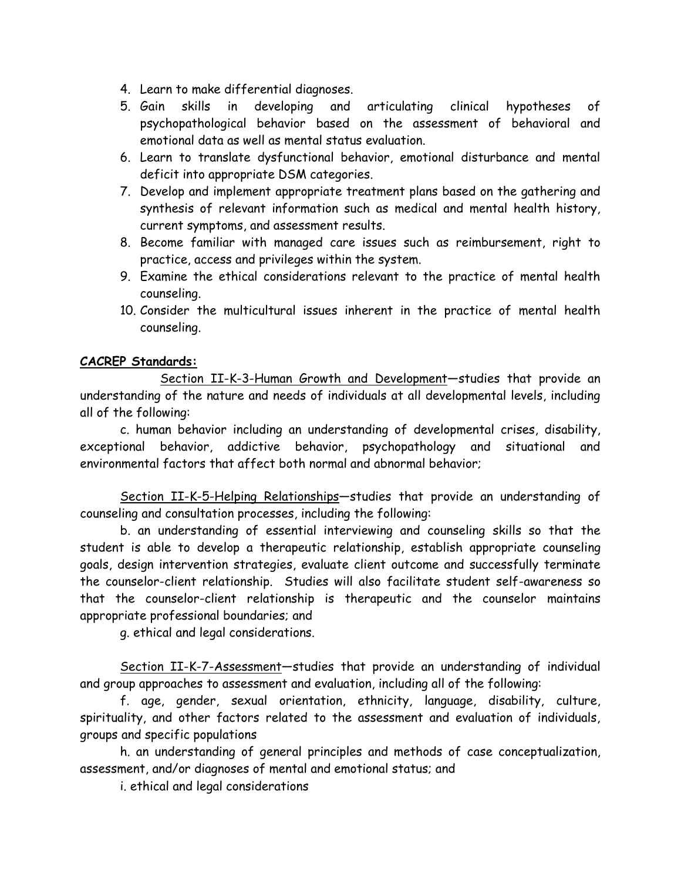- 4. Learn to make differential diagnoses.
- 5. Gain skills in developing and articulating clinical hypotheses of psychopathological behavior based on the assessment of behavioral and emotional data as well as mental status evaluation.
- 6. Learn to translate dysfunctional behavior, emotional disturbance and mental deficit into appropriate DSM categories.
- 7. Develop and implement appropriate treatment plans based on the gathering and synthesis of relevant information such as medical and mental health history, current symptoms, and assessment results.
- 8. Become familiar with managed care issues such as reimbursement, right to practice, access and privileges within the system.
- 9. Examine the ethical considerations relevant to the practice of mental health counseling.
- 10. Consider the multicultural issues inherent in the practice of mental health counseling.

## **CACREP Standards:**

Section II-K-3-Human Growth and Development—studies that provide an understanding of the nature and needs of individuals at all developmental levels, including all of the following:

c. human behavior including an understanding of developmental crises, disability, exceptional behavior, addictive behavior, psychopathology and situational and environmental factors that affect both normal and abnormal behavior;

Section II-K-5-Helping Relationships—studies that provide an understanding of counseling and consultation processes, including the following:

b. an understanding of essential interviewing and counseling skills so that the student is able to develop a therapeutic relationship, establish appropriate counseling goals, design intervention strategies, evaluate client outcome and successfully terminate the counselor-client relationship. Studies will also facilitate student self-awareness so that the counselor-client relationship is therapeutic and the counselor maintains appropriate professional boundaries; and

g. ethical and legal considerations.

Section II-K-7-Assessment—studies that provide an understanding of individual and group approaches to assessment and evaluation, including all of the following:

f. age, gender, sexual orientation, ethnicity, language, disability, culture, spirituality, and other factors related to the assessment and evaluation of individuals, groups and specific populations

h. an understanding of general principles and methods of case conceptualization, assessment, and/or diagnoses of mental and emotional status; and

i. ethical and legal considerations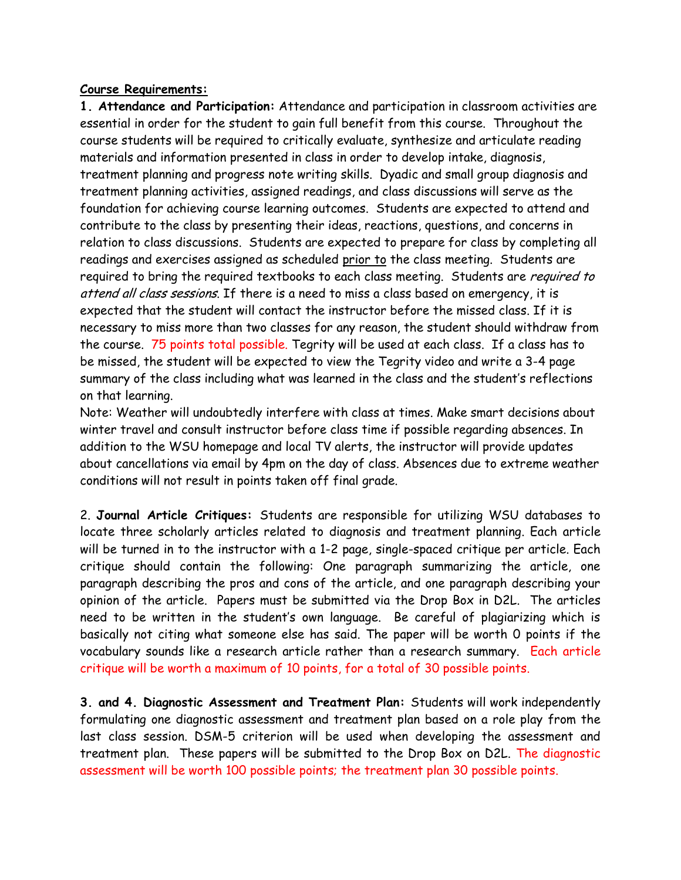#### **Course Requirements:**

**1. Attendance and Participation:** Attendance and participation in classroom activities are essential in order for the student to gain full benefit from this course. Throughout the course students will be required to critically evaluate, synthesize and articulate reading materials and information presented in class in order to develop intake, diagnosis, treatment planning and progress note writing skills. Dyadic and small group diagnosis and treatment planning activities, assigned readings, and class discussions will serve as the foundation for achieving course learning outcomes. Students are expected to attend and contribute to the class by presenting their ideas, reactions, questions, and concerns in relation to class discussions. Students are expected to prepare for class by completing all readings and exercises assigned as scheduled prior to the class meeting. Students are required to bring the required textbooks to each class meeting. Students are *required to* attend all class sessions. If there is a need to miss a class based on emergency, it is expected that the student will contact the instructor before the missed class. If it is necessary to miss more than two classes for any reason, the student should withdraw from the course. 75 points total possible. Tegrity will be used at each class. If a class has to be missed, the student will be expected to view the Tegrity video and write a 3-4 page summary of the class including what was learned in the class and the student's reflections on that learning.

Note: Weather will undoubtedly interfere with class at times. Make smart decisions about winter travel and consult instructor before class time if possible regarding absences. In addition to the WSU homepage and local TV alerts, the instructor will provide updates about cancellations via email by 4pm on the day of class. Absences due to extreme weather conditions will not result in points taken off final grade.

2. **Journal Article Critiques:** Students are responsible for utilizing WSU databases to locate three scholarly articles related to diagnosis and treatment planning. Each article will be turned in to the instructor with a 1-2 page, single-spaced critique per article. Each critique should contain the following: One paragraph summarizing the article, one paragraph describing the pros and cons of the article, and one paragraph describing your opinion of the article. Papers must be submitted via the Drop Box in D2L. The articles need to be written in the student's own language. Be careful of plagiarizing which is basically not citing what someone else has said. The paper will be worth 0 points if the vocabulary sounds like a research article rather than a research summary. Each article critique will be worth a maximum of 10 points, for a total of 30 possible points.

**3. and 4. Diagnostic Assessment and Treatment Plan:** Students will work independently formulating one diagnostic assessment and treatment plan based on a role play from the last class session. DSM-5 criterion will be used when developing the assessment and treatment plan. These papers will be submitted to the Drop Box on D2L. The diagnostic assessment will be worth 100 possible points; the treatment plan 30 possible points.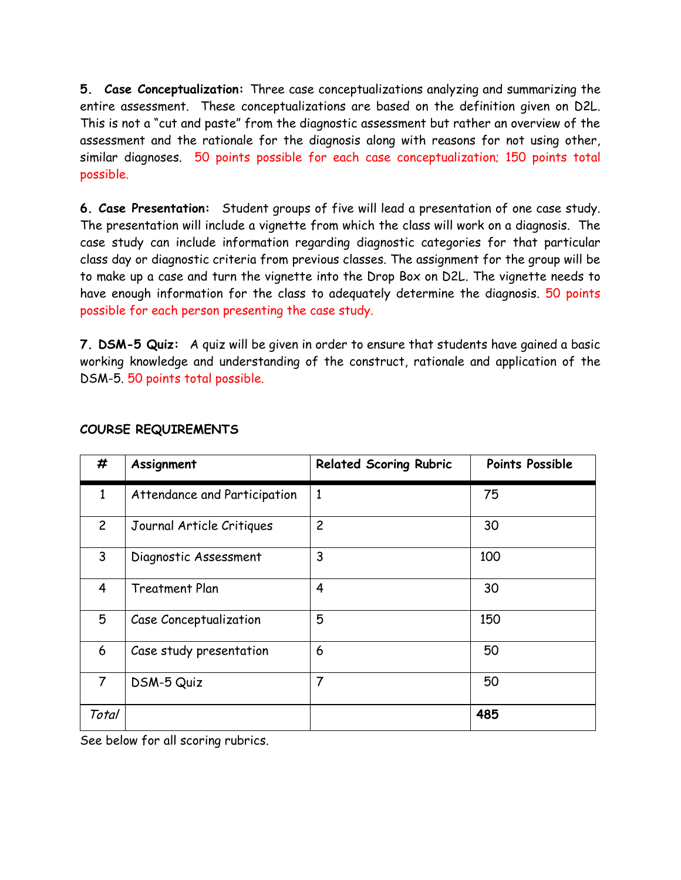**5. Case Conceptualization:** Three case conceptualizations analyzing and summarizing the entire assessment. These conceptualizations are based on the definition given on D2L. This is not a "cut and paste" from the diagnostic assessment but rather an overview of the assessment and the rationale for the diagnosis along with reasons for not using other, similar diagnoses. 50 points possible for each case conceptualization; 150 points total possible.

**6. Case Presentation:** Student groups of five will lead a presentation of one case study. The presentation will include a vignette from which the class will work on a diagnosis. The case study can include information regarding diagnostic categories for that particular class day or diagnostic criteria from previous classes. The assignment for the group will be to make up a case and turn the vignette into the Drop Box on D2L. The vignette needs to have enough information for the class to adequately determine the diagnosis. 50 points possible for each person presenting the case study.

**7. DSM-5 Quiz:** A quiz will be given in order to ensure that students have gained a basic working knowledge and understanding of the construct, rationale and application of the DSM-5. 50 points total possible.

| #              | Assignment                   | <b>Related Scoring Rubric</b> | <b>Points Possible</b> |
|----------------|------------------------------|-------------------------------|------------------------|
| $\mathbf{1}$   | Attendance and Participation | $\mathbf{1}$                  | 75                     |
| $\overline{c}$ | Journal Article Critiques    | $\overline{c}$                | 30                     |
| 3              | Diagnostic Assessment        | 3                             | 100                    |
| 4              | <b>Treatment Plan</b>        | $\overline{4}$                | 30                     |
| 5              | Case Conceptualization       | 5                             | 150                    |
| 6              | Case study presentation      | 6                             | 50                     |
| $\overline{7}$ | DSM-5 Quiz                   | 7                             | 50                     |
| Total          |                              |                               | 485                    |

#### **COURSE REQUIREMENTS**

See below for all scoring rubrics.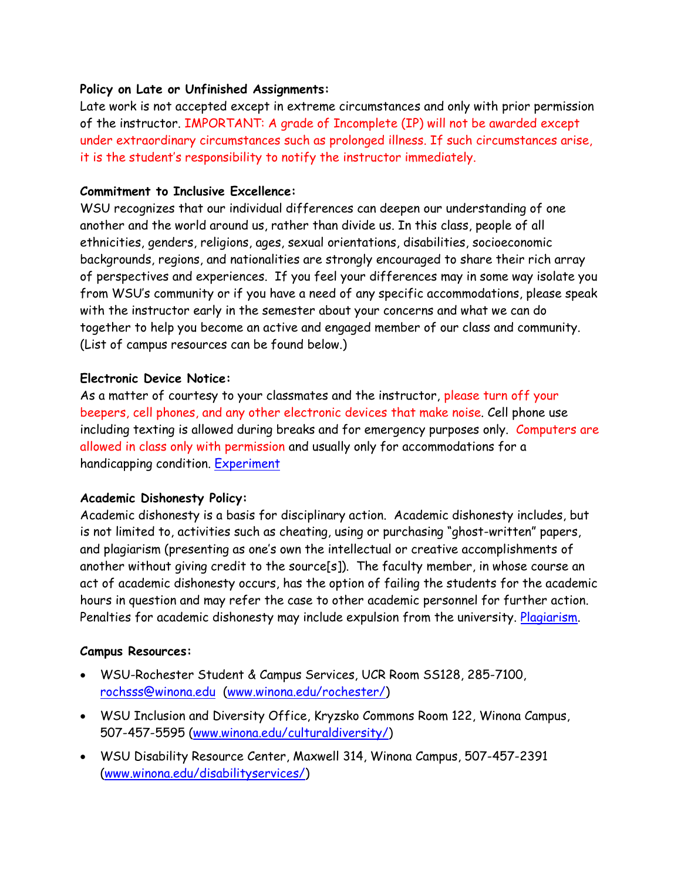### **Policy on Late or Unfinished Assignments:**

Late work is not accepted except in extreme circumstances and only with prior permission of the instructor. IMPORTANT: A grade of Incomplete (IP) will not be awarded except under extraordinary circumstances such as prolonged illness. If such circumstances arise, it is the student's responsibility to notify the instructor immediately.

### **Commitment to Inclusive Excellence:**

WSU recognizes that our individual differences can deepen our understanding of one another and the world around us, rather than divide us. In this class, people of all ethnicities, genders, religions, ages, sexual orientations, disabilities, socioeconomic backgrounds, regions, and nationalities are strongly encouraged to share their rich array of perspectives and experiences. If you feel your differences may in some way isolate you from WSU's community or if you have a need of any specific accommodations, please speak with the instructor early in the semester about your concerns and what we can do together to help you become an active and engaged member of our class and community. (List of campus resources can be found below.)

### **Electronic Device Notice:**

As a matter of courtesy to your classmates and the instructor, please turn off your beepers, cell phones, and any other electronic devices that make noise. Cell phone use including texting is allowed during breaks and for emergency purposes only. Computers are allowed in class only with permission and usually only for accommodations for a handicapping condition. [Experiment](http://youtu.be/HHQv1KdpI-8)

### **Academic Dishonesty Policy:**

Academic dishonesty is a basis for disciplinary action. Academic dishonesty includes, but is not limited to, activities such as cheating, using or purchasing "ghost-written" papers, and plagiarism (presenting as one's own the intellectual or creative accomplishments of another without giving credit to the source[s]). The faculty member, in whose course an act of academic dishonesty occurs, has the option of failing the students for the academic hours in question and may refer the case to other academic personnel for further action. Penalties for academic dishonesty may include expulsion from the university. [Plagiarism.](http://www.youtube.com/watch?v=VnTPv9PtOoo)

#### **Campus Resources:**

- WSU-Rochester Student & Campus Services, UCR Room SS128, 285-7100, [rochsss@winona.edu](mailto:rochsss@winona.edu) [\(www.winona.edu/rochester/\)](http://www.winona.edu/rochester/)
- WSU Inclusion and Diversity Office, Kryzsko Commons Room 122, Winona Campus, 507-457-5595 [\(www.winona.edu/culturaldiversity/\)](http://www.winona.edu/culturaldiversity/)
- WSU Disability Resource Center, Maxwell 314, Winona Campus, 507-457-2391 [\(www.winona.edu/disabilityservices/\)](http://www.winona.edu/disabilityservices/)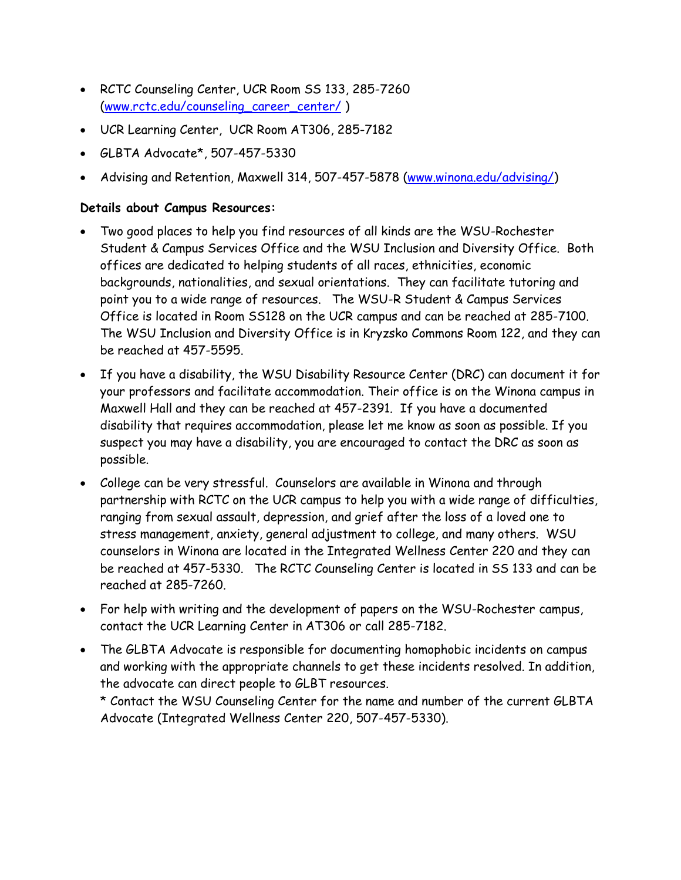- RCTC Counseling Center, UCR Room SS 133, 285-7260 [\(www.rctc.edu/counseling\\_career\\_center/](http://www.rctc.edu/counseling_career_center/) )
- UCR Learning Center, UCR Room AT306, 285-7182
- GLBTA Advocate\*, 507-457-5330
- Advising and Retention, Maxwell 314, 507-457-5878 [\(www.winona.edu/advising/\)](http://www.winona.edu/advising/)

### **Details about Campus Resources:**

- Two good places to help you find resources of all kinds are the WSU-Rochester Student & Campus Services Office and the WSU Inclusion and Diversity Office. Both offices are dedicated to helping students of all races, ethnicities, economic backgrounds, nationalities, and sexual orientations. They can facilitate tutoring and point you to a wide range of resources. The WSU-R Student & Campus Services Office is located in Room SS128 on the UCR campus and can be reached at 285-7100. The WSU Inclusion and Diversity Office is in Kryzsko Commons Room 122, and they can be reached at 457-5595.
- If you have a disability, the WSU Disability Resource Center (DRC) can document it for your professors and facilitate accommodation. Their office is on the Winona campus in Maxwell Hall and they can be reached at 457-2391. If you have a documented disability that requires accommodation, please let me know as soon as possible. If you suspect you may have a disability, you are encouraged to contact the DRC as soon as possible.
- College can be very stressful. Counselors are available in Winona and through partnership with RCTC on the UCR campus to help you with a wide range of difficulties, ranging from sexual assault, depression, and grief after the loss of a loved one to stress management, anxiety, general adjustment to college, and many others. WSU counselors in Winona are located in the Integrated Wellness Center 220 and they can be reached at 457-5330. The RCTC Counseling Center is located in SS 133 and can be reached at 285-7260.
- For help with writing and the development of papers on the WSU-Rochester campus, contact the UCR Learning Center in AT306 or call 285-7182.
- The GLBTA Advocate is responsible for documenting homophobic incidents on campus and working with the appropriate channels to get these incidents resolved. In addition, the advocate can direct people to GLBT resources.

\* Contact the WSU Counseling Center for the name and number of the current GLBTA Advocate (Integrated Wellness Center 220, 507-457-5330).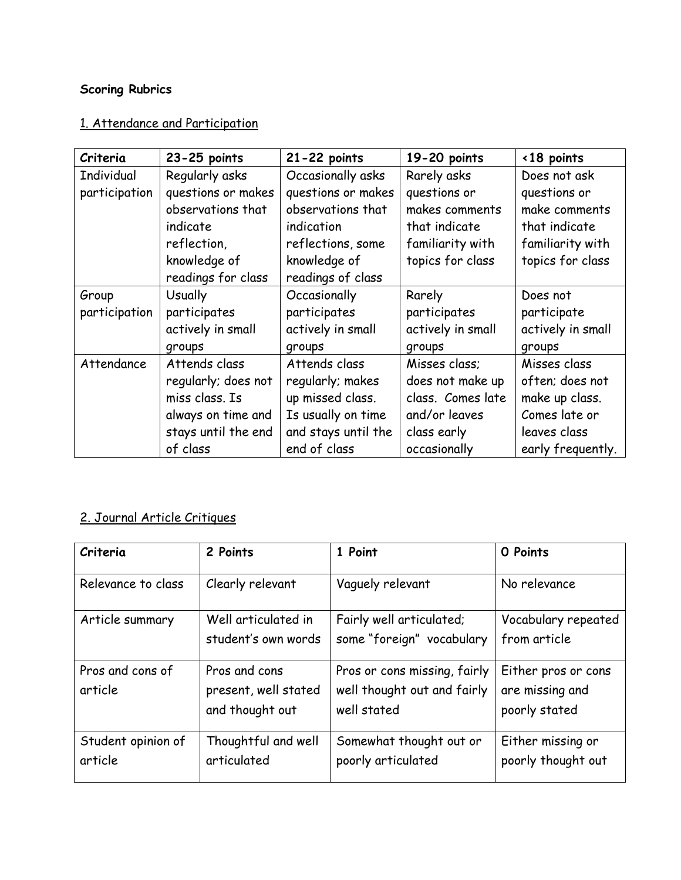# **Scoring Rubrics**

## 1. Attendance and Participation

| Criteria      | 23-25 points        | $21 - 22$ points    | 19-20 points      | <18 points        |
|---------------|---------------------|---------------------|-------------------|-------------------|
| Individual    | Regularly asks      | Occasionally asks   | Rarely asks       | Does not ask      |
| participation | questions or makes  | questions or makes  | questions or      | questions or      |
|               | observations that   | observations that   | makes comments    | make comments     |
|               | indicate            | indication          | that indicate     | that indicate     |
|               | reflection,         | reflections, some   | familiarity with  | familiarity with  |
|               | knowledge of        | knowledge of        | topics for class  | topics for class  |
|               | readings for class  | readings of class   |                   |                   |
| Group         | <b>Usually</b>      | Occasionally        | Rarely            | Does not          |
| participation | participates        | participates        | participates      | participate       |
|               | actively in small   | actively in small   | actively in small | actively in small |
|               | groups              | groups              | groups            | groups            |
| Attendance    | Attends class       | Attends class       | Misses class;     | Misses class      |
|               | regularly; does not | regularly; makes    | does not make up  | often; does not   |
|               | miss class. Is      | up missed class.    | class. Comes late | make up class.    |
|               | always on time and  | Is usually on time  | and/or leaves     | Comes late or     |
|               | stays until the end | and stays until the | class early       | leaves class      |
|               | of class            | end of class        | occasionally      | early frequently. |

# 2. Journal Article Critiques

| Criteria                      | 2 Points                                                 | 1 Point                                                                    | O Points                                                |
|-------------------------------|----------------------------------------------------------|----------------------------------------------------------------------------|---------------------------------------------------------|
| Relevance to class            | Clearly relevant                                         | Vaguely relevant                                                           | No relevance                                            |
| Article summary               | Well articulated in<br>student's own words               | Fairly well articulated;<br>some "foreign" vocabulary                      | Vocabulary repeated<br>from article                     |
| Pros and cons of<br>article   | Pros and cons<br>present, well stated<br>and thought out | Pros or cons missing, fairly<br>well thought out and fairly<br>well stated | Either pros or cons<br>are missing and<br>poorly stated |
| Student opinion of<br>article | Thoughtful and well<br>articulated                       | Somewhat thought out or<br>poorly articulated                              | Either missing or<br>poorly thought out                 |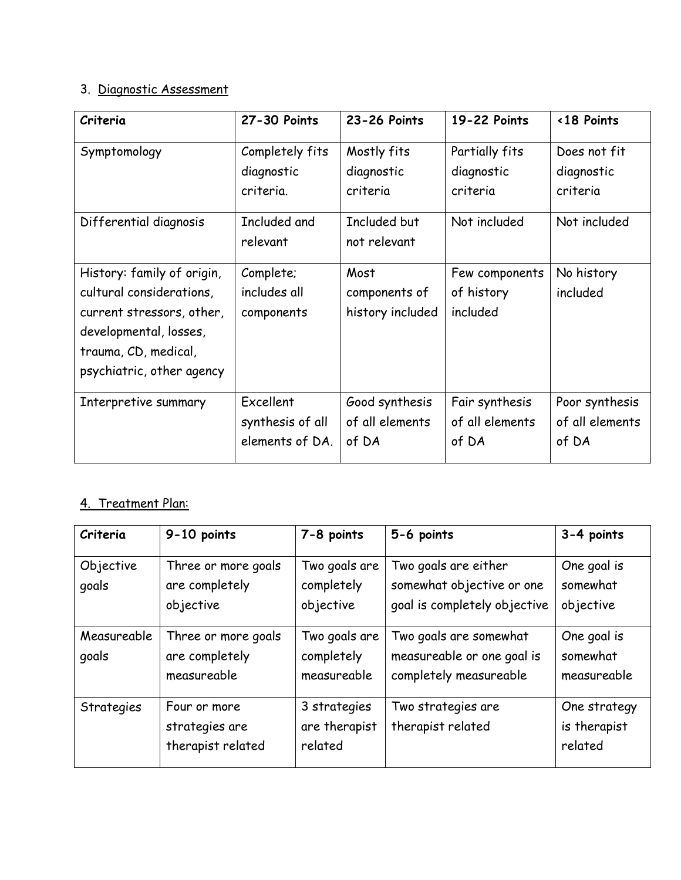## 3. Diagnostic Assessment

| Criteria                                                                                                                                                           | 27-30 Points                                     | 23-26 Points                               | 19-22 Points                               | <18 Points                                 |
|--------------------------------------------------------------------------------------------------------------------------------------------------------------------|--------------------------------------------------|--------------------------------------------|--------------------------------------------|--------------------------------------------|
| Symptomology                                                                                                                                                       | Completely fits<br>diagnostic<br>criteria.       | Mostly fits<br>diagnostic<br>criteria      | Partially fits<br>diagnostic<br>criteria   | Does not fit<br>diagnostic<br>criteria     |
| Differential diagnosis                                                                                                                                             | Included and<br>relevant                         | Included but<br>not relevant               | Not included                               | Not included                               |
| History: family of origin,<br>cultural considerations,<br>current stressors, other,<br>developmental, losses,<br>trauma, CD, medical,<br>psychiatric, other agency | Complete;<br>includes all<br>components          | Most<br>components of<br>history included  | Few components<br>of history<br>included   | No history<br>included                     |
| Interpretive summary                                                                                                                                               | Excellent<br>synthesis of all<br>elements of DA. | Good synthesis<br>of all elements<br>of DA | Fair synthesis<br>of all elements<br>of DA | Poor synthesis<br>of all elements<br>of DA |

## 4. Treatment Plan:

| Criteria             | 9-10 points                                          | 7-8 points                                 | 5-6 points                                                                        | 3-4 points                              |
|----------------------|------------------------------------------------------|--------------------------------------------|-----------------------------------------------------------------------------------|-----------------------------------------|
| Objective<br>goals   | Three or more goals<br>are completely<br>objective   | Two goals are<br>completely<br>objective   | Two goals are either<br>somewhat objective or one<br>goal is completely objective | One goal is<br>somewhat<br>objective    |
| Measureable<br>goals | Three or more goals<br>are completely<br>measureable | Two goals are<br>completely<br>measureable | Two goals are somewhat<br>measureable or one goal is<br>completely measureable    | One goal is<br>somewhat<br>measureable  |
| Strategies           | Four or more<br>strategies are<br>therapist related  | 3 strategies<br>are therapist<br>related   | Two strategies are<br>therapist related                                           | One strategy<br>is therapist<br>related |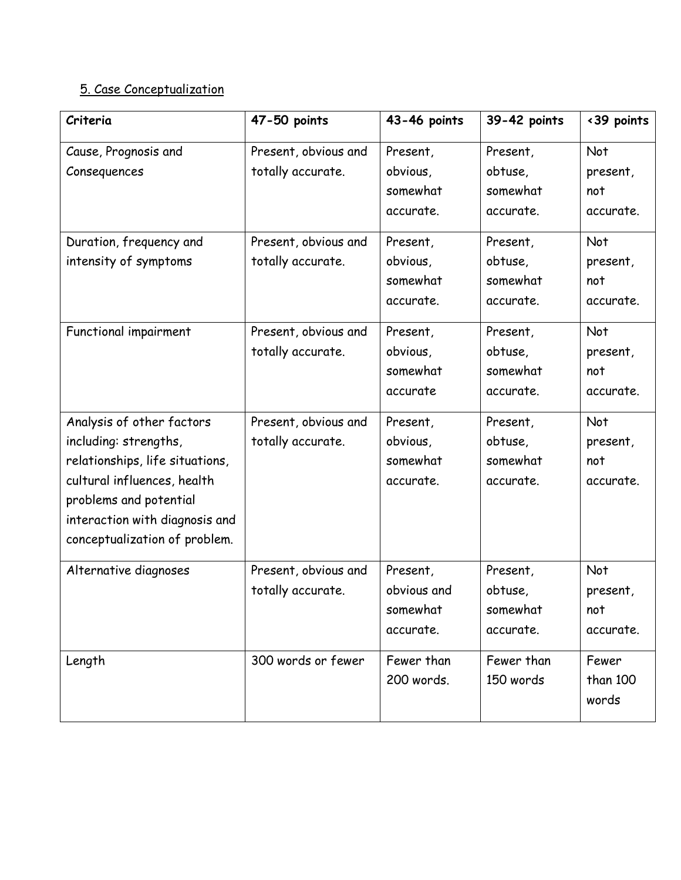# 5. Case Conceptualization

| Criteria                                                                                                                                                                                                          | 47-50 points                              | 43-46 points                                               | 39-42 points                                              | <39 points                                       |
|-------------------------------------------------------------------------------------------------------------------------------------------------------------------------------------------------------------------|-------------------------------------------|------------------------------------------------------------|-----------------------------------------------------------|--------------------------------------------------|
| Cause, Prognosis and<br>Consequences                                                                                                                                                                              | Present, obvious and<br>totally accurate. | Present,<br>obvious,<br>somewhat                           | Present,<br>obtuse,<br>somewhat                           | Not<br>present,<br>not                           |
| Duration, frequency and<br>intensity of symptoms                                                                                                                                                                  | Present, obvious and<br>totally accurate. | accurate.<br>Present,<br>obvious,<br>somewhat<br>accurate. | accurate.<br>Present,<br>obtuse,<br>somewhat<br>accurate. | accurate.<br>Not<br>present,<br>not<br>accurate. |
| Functional impairment                                                                                                                                                                                             | Present, obvious and<br>totally accurate. | Present,<br>obvious,<br>somewhat<br>accurate               | Present,<br>obtuse,<br>somewhat<br>accurate.              | Not<br>present,<br>not<br>accurate.              |
| Analysis of other factors<br>including: strengths,<br>relationships, life situations,<br>cultural influences, health<br>problems and potential<br>interaction with diagnosis and<br>conceptualization of problem. | Present, obvious and<br>totally accurate. | Present,<br>obvious,<br>somewhat<br>accurate.              | Present,<br>obtuse,<br>somewhat<br>accurate.              | Not<br>present,<br>not<br>accurate.              |
| Alternative diagnoses                                                                                                                                                                                             | Present, obvious and<br>totally accurate. | Present,<br>obvious and<br>somewhat<br>accurate.           | Present,<br>obtuse,<br>somewhat<br>accurate.              | Not<br>present,<br>not<br>accurate.              |
| Length                                                                                                                                                                                                            | 300 words or fewer                        | Fewer than<br>200 words.                                   | Fewer than<br>150 words                                   | Fewer<br>than 100<br>words                       |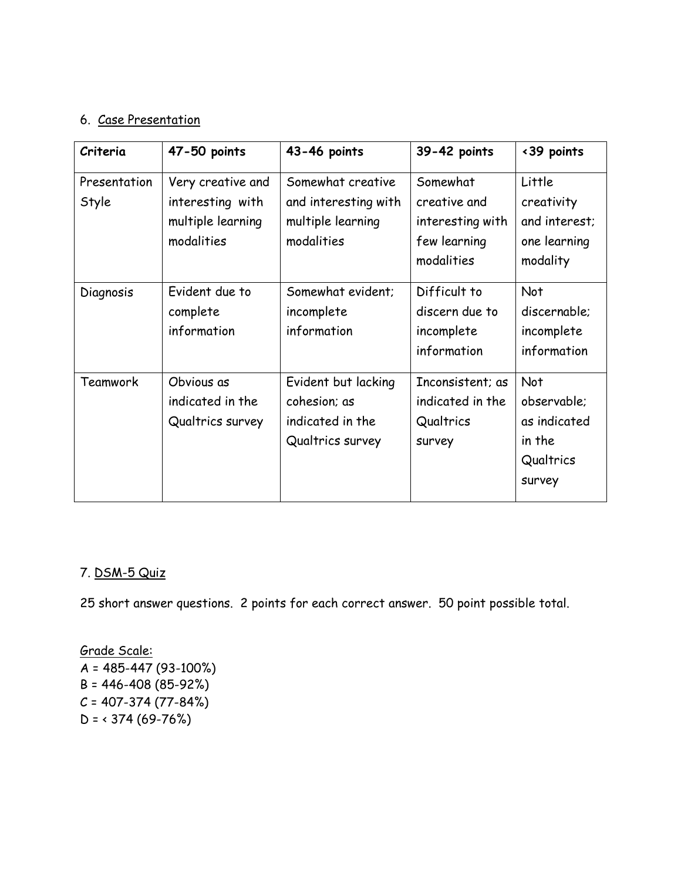## 6. Case Presentation

| Criteria              | 47-50 points                                                             | 43-46 points                                                                 | 39-42 points                                                               | <39 points                                                          |
|-----------------------|--------------------------------------------------------------------------|------------------------------------------------------------------------------|----------------------------------------------------------------------------|---------------------------------------------------------------------|
| Presentation<br>Style | Very creative and<br>interesting with<br>multiple learning<br>modalities | Somewhat creative<br>and interesting with<br>multiple learning<br>modalities | Somewhat<br>creative and<br>interesting with<br>few learning<br>modalities | Little<br>creativity<br>and interest;<br>one learning<br>modality   |
| Diagnosis             | Evident due to<br>complete<br>information                                | Somewhat evident;<br>incomplete<br>information                               | Difficult to<br>discern due to<br>incomplete<br>information                | Not<br>discernable;<br>incomplete<br>information                    |
| Teamwork              | Obvious as<br>indicated in the<br>Qualtrics survey                       | Evident but lacking<br>cohesion; as<br>indicated in the<br>Qualtrics survey  | Inconsistent; as<br>indicated in the<br>Qualtrics<br><b>Survey</b>         | Not<br>observable;<br>as indicated<br>in the<br>Qualtrics<br>survey |

## 7. DSM-5 Quiz

25 short answer questions. 2 points for each correct answer. 50 point possible total.

## Grade Scale: A = 485-447 (93-100%) B = 446-408 (85-92%)  $C = 407 - 374 (77 - 84%)$  $D = 374 (69 - 76%)$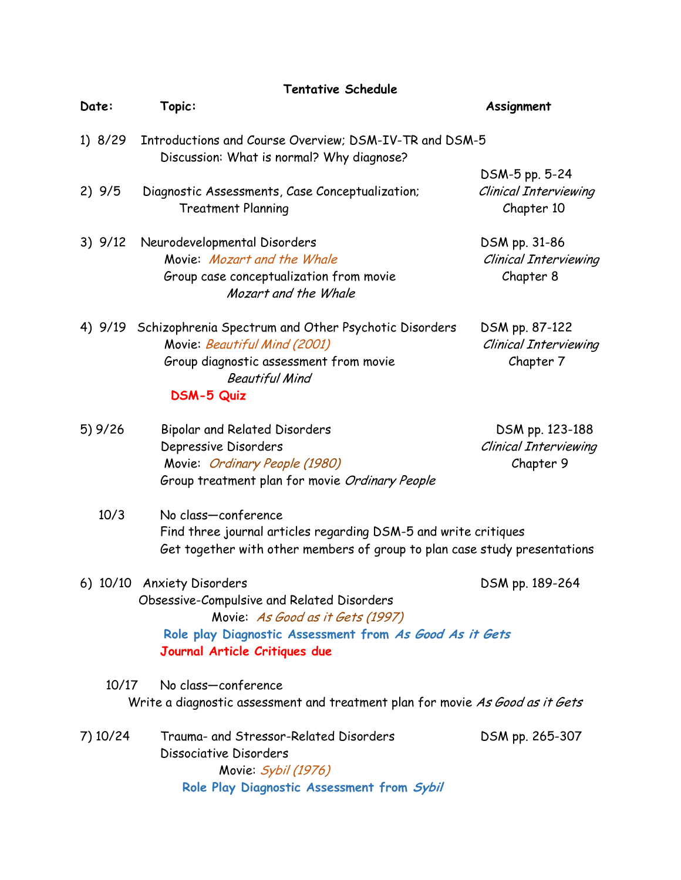| Topic:<br>Date:<br>Assignment<br>1) 8/29<br>Introductions and Course Overview; DSM-IV-TR and DSM-5<br>Discussion: What is normal? Why diagnose?<br>DSM-5 pp. 5-24<br>2)9/5<br><b>Clinical Interviewing</b><br>Diagnostic Assessments, Case Conceptualization;<br><b>Treatment Planning</b><br>Chapter 10<br>$3)$ $9/12$<br>Neurodevelopmental Disorders<br>DSM pp. 31-86<br>Movie: Mozart and the Whale<br><b>Clinical Interviewing</b><br>Group case conceptualization from movie<br>Chapter 8<br>Mozart and the Whale<br>Schizophrenia Spectrum and Other Psychotic Disorders<br>4) 9/19<br>DSM pp. 87-122<br>Movie: Beautiful Mind (2001)<br><b>Clinical Interviewing</b><br>Group diagnostic assessment from movie<br>Chapter 7<br><b>Beautiful Mind</b><br><b>DSM-5 Quiz</b><br>5) 9/26<br><b>Bipolar and Related Disorders</b><br>DSM pp. 123-188<br>Depressive Disorders<br><b>Clinical Interviewing</b><br>Chapter 9<br>Movie: Ordinary People (1980)<br>Group treatment plan for movie Ordinary People<br>10/3<br>No class-conference<br>Find three journal articles regarding DSM-5 and write critiques<br>Get together with other members of group to plan case study presentations<br>6) 10/10 Anxiety Disorders<br>DSM pp. 189-264<br>Obsessive-Compulsive and Related Disorders<br>Movie: As Good as it Gets (1997)<br>Role play Diagnostic Assessment from As Good As it Gets<br>Journal Article Critiques due<br>No class-conference<br>10/17<br>Write a diagnostic assessment and treatment plan for movie As Good as it Gets<br>Trauma- and Stressor-Related Disorders<br>7) 10/24<br>DSM pp. 265-307<br>Dissociative Disorders | <b>Tentative Schedule</b> |  |
|---------------------------------------------------------------------------------------------------------------------------------------------------------------------------------------------------------------------------------------------------------------------------------------------------------------------------------------------------------------------------------------------------------------------------------------------------------------------------------------------------------------------------------------------------------------------------------------------------------------------------------------------------------------------------------------------------------------------------------------------------------------------------------------------------------------------------------------------------------------------------------------------------------------------------------------------------------------------------------------------------------------------------------------------------------------------------------------------------------------------------------------------------------------------------------------------------------------------------------------------------------------------------------------------------------------------------------------------------------------------------------------------------------------------------------------------------------------------------------------------------------------------------------------------------------------------------------------------------------------------------------------------------|---------------------------|--|
|                                                                                                                                                                                                                                                                                                                                                                                                                                                                                                                                                                                                                                                                                                                                                                                                                                                                                                                                                                                                                                                                                                                                                                                                                                                                                                                                                                                                                                                                                                                                                                                                                                                   |                           |  |
|                                                                                                                                                                                                                                                                                                                                                                                                                                                                                                                                                                                                                                                                                                                                                                                                                                                                                                                                                                                                                                                                                                                                                                                                                                                                                                                                                                                                                                                                                                                                                                                                                                                   |                           |  |
|                                                                                                                                                                                                                                                                                                                                                                                                                                                                                                                                                                                                                                                                                                                                                                                                                                                                                                                                                                                                                                                                                                                                                                                                                                                                                                                                                                                                                                                                                                                                                                                                                                                   |                           |  |
|                                                                                                                                                                                                                                                                                                                                                                                                                                                                                                                                                                                                                                                                                                                                                                                                                                                                                                                                                                                                                                                                                                                                                                                                                                                                                                                                                                                                                                                                                                                                                                                                                                                   |                           |  |
|                                                                                                                                                                                                                                                                                                                                                                                                                                                                                                                                                                                                                                                                                                                                                                                                                                                                                                                                                                                                                                                                                                                                                                                                                                                                                                                                                                                                                                                                                                                                                                                                                                                   |                           |  |
|                                                                                                                                                                                                                                                                                                                                                                                                                                                                                                                                                                                                                                                                                                                                                                                                                                                                                                                                                                                                                                                                                                                                                                                                                                                                                                                                                                                                                                                                                                                                                                                                                                                   |                           |  |
|                                                                                                                                                                                                                                                                                                                                                                                                                                                                                                                                                                                                                                                                                                                                                                                                                                                                                                                                                                                                                                                                                                                                                                                                                                                                                                                                                                                                                                                                                                                                                                                                                                                   |                           |  |
|                                                                                                                                                                                                                                                                                                                                                                                                                                                                                                                                                                                                                                                                                                                                                                                                                                                                                                                                                                                                                                                                                                                                                                                                                                                                                                                                                                                                                                                                                                                                                                                                                                                   |                           |  |
|                                                                                                                                                                                                                                                                                                                                                                                                                                                                                                                                                                                                                                                                                                                                                                                                                                                                                                                                                                                                                                                                                                                                                                                                                                                                                                                                                                                                                                                                                                                                                                                                                                                   |                           |  |
|                                                                                                                                                                                                                                                                                                                                                                                                                                                                                                                                                                                                                                                                                                                                                                                                                                                                                                                                                                                                                                                                                                                                                                                                                                                                                                                                                                                                                                                                                                                                                                                                                                                   |                           |  |
|                                                                                                                                                                                                                                                                                                                                                                                                                                                                                                                                                                                                                                                                                                                                                                                                                                                                                                                                                                                                                                                                                                                                                                                                                                                                                                                                                                                                                                                                                                                                                                                                                                                   |                           |  |
|                                                                                                                                                                                                                                                                                                                                                                                                                                                                                                                                                                                                                                                                                                                                                                                                                                                                                                                                                                                                                                                                                                                                                                                                                                                                                                                                                                                                                                                                                                                                                                                                                                                   |                           |  |
|                                                                                                                                                                                                                                                                                                                                                                                                                                                                                                                                                                                                                                                                                                                                                                                                                                                                                                                                                                                                                                                                                                                                                                                                                                                                                                                                                                                                                                                                                                                                                                                                                                                   |                           |  |
|                                                                                                                                                                                                                                                                                                                                                                                                                                                                                                                                                                                                                                                                                                                                                                                                                                                                                                                                                                                                                                                                                                                                                                                                                                                                                                                                                                                                                                                                                                                                                                                                                                                   |                           |  |
|                                                                                                                                                                                                                                                                                                                                                                                                                                                                                                                                                                                                                                                                                                                                                                                                                                                                                                                                                                                                                                                                                                                                                                                                                                                                                                                                                                                                                                                                                                                                                                                                                                                   |                           |  |
|                                                                                                                                                                                                                                                                                                                                                                                                                                                                                                                                                                                                                                                                                                                                                                                                                                                                                                                                                                                                                                                                                                                                                                                                                                                                                                                                                                                                                                                                                                                                                                                                                                                   |                           |  |
|                                                                                                                                                                                                                                                                                                                                                                                                                                                                                                                                                                                                                                                                                                                                                                                                                                                                                                                                                                                                                                                                                                                                                                                                                                                                                                                                                                                                                                                                                                                                                                                                                                                   |                           |  |
|                                                                                                                                                                                                                                                                                                                                                                                                                                                                                                                                                                                                                                                                                                                                                                                                                                                                                                                                                                                                                                                                                                                                                                                                                                                                                                                                                                                                                                                                                                                                                                                                                                                   |                           |  |
|                                                                                                                                                                                                                                                                                                                                                                                                                                                                                                                                                                                                                                                                                                                                                                                                                                                                                                                                                                                                                                                                                                                                                                                                                                                                                                                                                                                                                                                                                                                                                                                                                                                   |                           |  |
|                                                                                                                                                                                                                                                                                                                                                                                                                                                                                                                                                                                                                                                                                                                                                                                                                                                                                                                                                                                                                                                                                                                                                                                                                                                                                                                                                                                                                                                                                                                                                                                                                                                   |                           |  |
|                                                                                                                                                                                                                                                                                                                                                                                                                                                                                                                                                                                                                                                                                                                                                                                                                                                                                                                                                                                                                                                                                                                                                                                                                                                                                                                                                                                                                                                                                                                                                                                                                                                   |                           |  |
|                                                                                                                                                                                                                                                                                                                                                                                                                                                                                                                                                                                                                                                                                                                                                                                                                                                                                                                                                                                                                                                                                                                                                                                                                                                                                                                                                                                                                                                                                                                                                                                                                                                   |                           |  |
|                                                                                                                                                                                                                                                                                                                                                                                                                                                                                                                                                                                                                                                                                                                                                                                                                                                                                                                                                                                                                                                                                                                                                                                                                                                                                                                                                                                                                                                                                                                                                                                                                                                   |                           |  |
|                                                                                                                                                                                                                                                                                                                                                                                                                                                                                                                                                                                                                                                                                                                                                                                                                                                                                                                                                                                                                                                                                                                                                                                                                                                                                                                                                                                                                                                                                                                                                                                                                                                   |                           |  |
|                                                                                                                                                                                                                                                                                                                                                                                                                                                                                                                                                                                                                                                                                                                                                                                                                                                                                                                                                                                                                                                                                                                                                                                                                                                                                                                                                                                                                                                                                                                                                                                                                                                   |                           |  |
|                                                                                                                                                                                                                                                                                                                                                                                                                                                                                                                                                                                                                                                                                                                                                                                                                                                                                                                                                                                                                                                                                                                                                                                                                                                                                                                                                                                                                                                                                                                                                                                                                                                   |                           |  |
|                                                                                                                                                                                                                                                                                                                                                                                                                                                                                                                                                                                                                                                                                                                                                                                                                                                                                                                                                                                                                                                                                                                                                                                                                                                                                                                                                                                                                                                                                                                                                                                                                                                   |                           |  |
|                                                                                                                                                                                                                                                                                                                                                                                                                                                                                                                                                                                                                                                                                                                                                                                                                                                                                                                                                                                                                                                                                                                                                                                                                                                                                                                                                                                                                                                                                                                                                                                                                                                   |                           |  |
|                                                                                                                                                                                                                                                                                                                                                                                                                                                                                                                                                                                                                                                                                                                                                                                                                                                                                                                                                                                                                                                                                                                                                                                                                                                                                                                                                                                                                                                                                                                                                                                                                                                   |                           |  |
|                                                                                                                                                                                                                                                                                                                                                                                                                                                                                                                                                                                                                                                                                                                                                                                                                                                                                                                                                                                                                                                                                                                                                                                                                                                                                                                                                                                                                                                                                                                                                                                                                                                   |                           |  |
|                                                                                                                                                                                                                                                                                                                                                                                                                                                                                                                                                                                                                                                                                                                                                                                                                                                                                                                                                                                                                                                                                                                                                                                                                                                                                                                                                                                                                                                                                                                                                                                                                                                   | Movie: Sybil (1976)       |  |
| Role Play Diagnostic Assessment from Sybil                                                                                                                                                                                                                                                                                                                                                                                                                                                                                                                                                                                                                                                                                                                                                                                                                                                                                                                                                                                                                                                                                                                                                                                                                                                                                                                                                                                                                                                                                                                                                                                                        |                           |  |